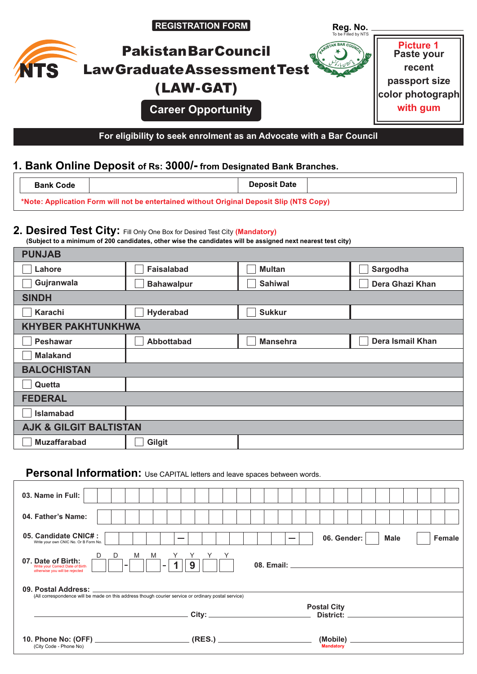|             | <b>REGISTRATION FORM</b>                                            | Reg. No.<br>To be Filled by NTS |                                |
|-------------|---------------------------------------------------------------------|---------------------------------|--------------------------------|
|             | <b>Pakistan Bar Council</b>                                         |                                 | <b>Picture 1</b><br>Paste your |
| <b>AITS</b> | <b>LawGraduateAssessmentTest</b>                                    |                                 | recent                         |
|             | (LAW-GAT)                                                           |                                 | passport size                  |
|             |                                                                     |                                 | lcolor photograph              |
|             | <b>Career Opportunity</b>                                           |                                 | with gum                       |
|             |                                                                     |                                 |                                |
|             | For eligibility to seek enrolment as an Advocate with a Bar Council |                                 |                                |

### **1. Bank Online Deposit of Rs: 3000/- from Designated Bank Branches.**

| <b>Donk</b><br>Code | -<br>∩en<br>vate |  |
|---------------------|------------------|--|
|---------------------|------------------|--|

**\*Note: Application Form will not be entertained without Original Deposit Slip (NTS Copy)**

#### **2. Desired Test City:** Fill Only One Box for Desired Test City **(Mandatory)**

**(Subject to a minimum of 200 candidates, other wise the candidates will be assigned next nearest test city)**

| <b>PUNJAB</b>                     |                   |                 |                  |
|-----------------------------------|-------------------|-----------------|------------------|
| Lahore                            | <b>Faisalabad</b> | <b>Multan</b>   | Sargodha         |
| Gujranwala                        | <b>Bahawalpur</b> | <b>Sahiwal</b>  | Dera Ghazi Khan  |
| <b>SINDH</b>                      |                   |                 |                  |
| Karachi                           | Hyderabad         | <b>Sukkur</b>   |                  |
| <b>KHYBER PAKHTUNKHWA</b>         |                   |                 |                  |
| <b>Peshawar</b>                   | Abbottabad        | <b>Mansehra</b> | Dera Ismail Khan |
| <b>Malakand</b>                   |                   |                 |                  |
| <b>BALOCHISTAN</b>                |                   |                 |                  |
| Quetta                            |                   |                 |                  |
| <b>FEDERAL</b>                    |                   |                 |                  |
| <b>Islamabad</b>                  |                   |                 |                  |
| <b>AJK &amp; GILGIT BALTISTAN</b> |                   |                 |                  |
| <b>Muzaffarabad</b>               | Gilgit            |                 |                  |
|                                   |                   |                 |                  |

## **Personal Information:** Use CAPITAL letters and leave spaces between words.

| 03. Name in Full:                                                                                                                                                  |                                                                                                                |
|--------------------------------------------------------------------------------------------------------------------------------------------------------------------|----------------------------------------------------------------------------------------------------------------|
| 04. Father's Name:                                                                                                                                                 |                                                                                                                |
| 05. Candidate CNIC#:<br>Write your own CNIC No. Or B Form No.                                                                                                      | 06. Gender:<br>Female<br><b>Male</b>                                                                           |
| D<br>M<br>M<br>D<br>07. Date of Birth:<br>9<br>$\overline{\phantom{a}}$<br>$\qquad \qquad =$<br>Write your Correct Date of Birth<br>otherwise you will be rejected | 08. Email: The contract of the contract of the contract of the contract of the contract of the contract of the |
| 09. Postal Address:<br>(All correspondence will be made on this address though courier service or ordinary postal service)                                         |                                                                                                                |
|                                                                                                                                                                    | <b>Postal City</b><br><b>District:</b>                                                                         |
| (RES.)<br>(City Code - Phone No)                                                                                                                                   | (Mobile)<br><b>Mandatory</b>                                                                                   |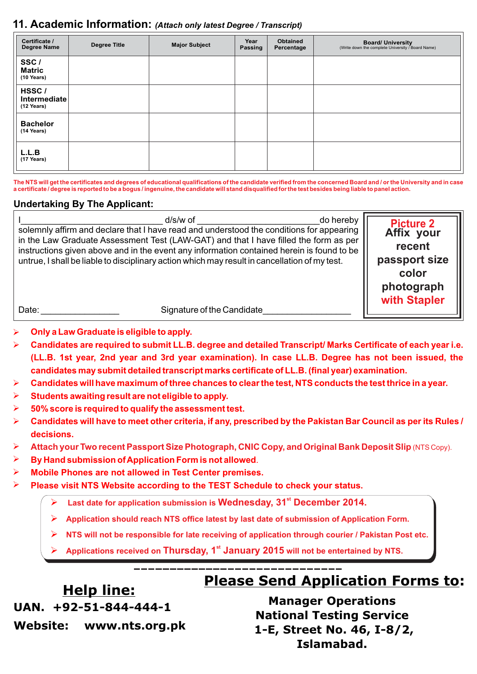### **11. Academic Information:** *(Attach only latest Degree / Transcript)*

| Certificate /<br><b>Degree Name</b> | <b>Degree Title</b> | <b>Major Subject</b> | Year<br>Passing | <b>Obtained</b><br>Percentage | <b>Board/ University</b><br>(Write down the complete University / Board Name) |
|-------------------------------------|---------------------|----------------------|-----------------|-------------------------------|-------------------------------------------------------------------------------|
| SSC/<br>Matric<br>$(10$ Years)      |                     |                      |                 |                               |                                                                               |
| HSSC/<br>Intermediate<br>(12 Years) |                     |                      |                 |                               |                                                                               |
| <b>Bachelor</b><br>(14 Years)       |                     |                      |                 |                               |                                                                               |
| L.L.B<br>(17 Years)                 |                     |                      |                 |                               |                                                                               |

**The NTS will get the certificates and degrees of educational qualifications of the candidate verified from the concerned Board and / or the University and in case a certificate / degree is reported to be a bogus / ingenuine, the candidate will stand disqualified for the test besides being liable to panel action.**

#### **Undertaking By The Applicant:**

|       | d/s/w of<br>solemnly affirm and declare that I have read and understood the conditions for appearing<br>in the Law Graduate Assessment Test (LAW-GAT) and that I have filled the form as per<br>instructions given above and in the event any information contained herein is found to be<br>untrue, I shall be liable to disciplinary action which may result in cancellation of my test. | do hereby | <b>Picture 2</b><br>Affix your<br>recent<br>passport size<br>color<br>photograph<br>with Stapler |
|-------|--------------------------------------------------------------------------------------------------------------------------------------------------------------------------------------------------------------------------------------------------------------------------------------------------------------------------------------------------------------------------------------------|-----------|--------------------------------------------------------------------------------------------------|
| Date: | Signature of the Candidate                                                                                                                                                                                                                                                                                                                                                                 |           |                                                                                                  |

#### **Only a Law Graduate is eligible to apply.** Ø

- **Candidates are required to submit LL.B. degree and detailed Transcript/ Marks Certificate of each year i.e. (LL.B. 1st year, 2nd year and 3rd year examination). In case LL.B. Degree has not been issued, the candidates may submit detailed transcript marks certificate of LL.B. (final year) examination.** Ø
- **Candidates will have maximum of three chances to clear the test, NTS conducts the test thrice in a year.** Ø
- **Students awaiting result are not eligible to apply.** Ø
- **50% score is required to qualify the assessment test.** Ø
- **Candidates will have to meet other criteria, if any, prescribed by the Pakistan Bar Council as per its Rules / decisions.** Ø
- **Attach your Two recent Passport Size Photograph, CNIC Copy, and Original Bank Deposit Slip (NTS Copy).** Ø
- **By Hand submission of Application Form is not allowed**. Ø
- **Mobile Phones are not allowed in Test Center premises.** Ø
- **Please visit NTS Website according to the TEST Schedule to check your status.** Ø
	- Ø Last date for application submission is Wednesday, 31<sup>st</sup> December 2014.
	- Ø **Application should reach NTS office latest by last date of submission of Application Form.**
	- Ø **NTS will not be responsible for late receiving of application through courier / Pakistan Post etc.**
	- **st** Ø **Applications received on Thursday, 1 January 2015 will not be entertained by NTS.**

# **Help line:**

# **Please Send Application Forms to:**

**UAN. +92-51-844-444-1**

**Manager Operations National Testing Service 1-E, Street No. 46, I-8/2, Islamabad.**

**Website: www.nts.org.pk**